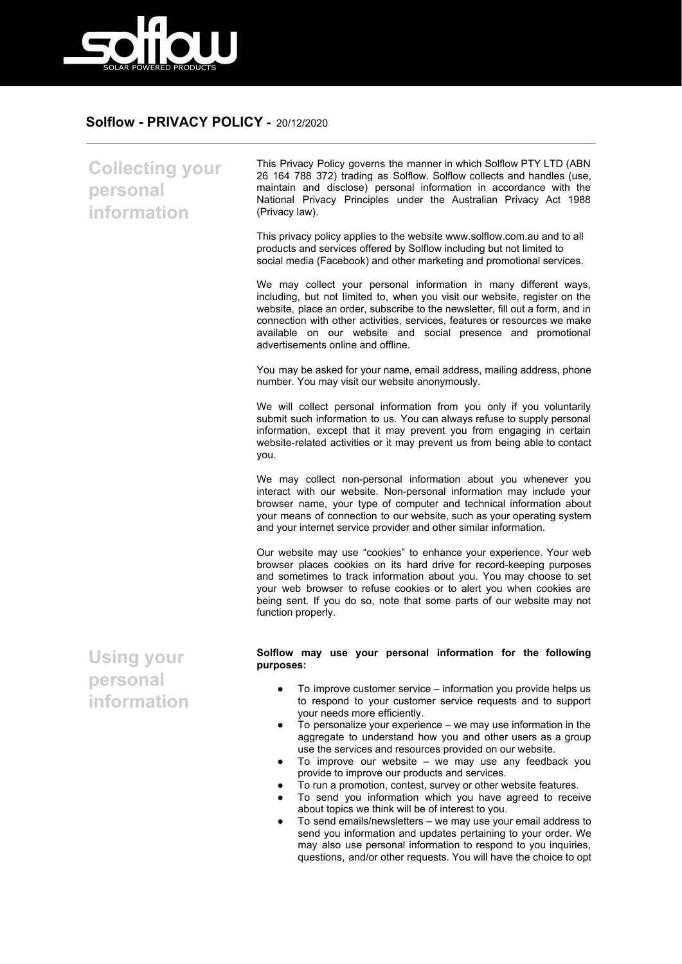

## **Solflow - PRIVACY POLICY -** 20/12/2020

**Collecting your personal information** This Privacy Policy governs the manner in which Solflow PTY LTD (ABN 26 164 788 372) trading as Solflow. Solflow collects and handles (use, maintain and disclose) personal information in accordance with the National Privacy Principles under the Australian Privacy Act 1988 (Privacy law). This privacy policy applies to the website www.solflow.com.au and to all products and services offered by Solflow including but not limited to social media (Facebook) and other marketing and promotional services. We may collect your personal information in many different ways, including, but not limited to, when you visit our website, register on the website, place an order, subscribe to the newsletter, fill out a form, and in connection with other activities, services, features or resources we make available on our website and social presence and promotional advertisements online and offline. You may be asked for your name, email address, mailing address, phone number. You may visit our website anonymously. We will collect personal information from you only if you voluntarily submit such information to us. You can always refuse to supply personal information, except that it may prevent you from engaging in certain website-related activities or it may prevent us from being able to contact you. We may collect non-personal information about you whenever you interact with our website. Non-personal information may include your browser name, your type of computer and technical information about your means of connection to our website, such as your operating system and your internet service provider and other similar information. Our website may use "cookies" to enhance your experience. Your web browser places cookies on its hard drive for record-keeping purposes and sometimes to track information about you. You may choose to set your web browser to refuse cookies or to alert you when cookies are being sent. If you do so, note that some parts of our website may not function properly. **Using your personal information Solflow may use your personal information for the following purposes:** ● To improve customer service – information you provide helps us to respond to your customer service requests and to support your needs more efficiently. To personalize your experience  $-$  we may use information in the aggregate to understand how you and other users as a group use the services and resources provided on our website.

- To improve our website we may use any feedback you provide to improve our products and services.
- To run a promotion, contest, survey or other website features.
- To send you information which you have agreed to receive about topics we think will be of interest to you.
- To send emails/newsletters we may use your email address to send you information and updates pertaining to your order. We may also use personal information to respond to you inquiries. questions, and/or other requests. You will have the choice to opt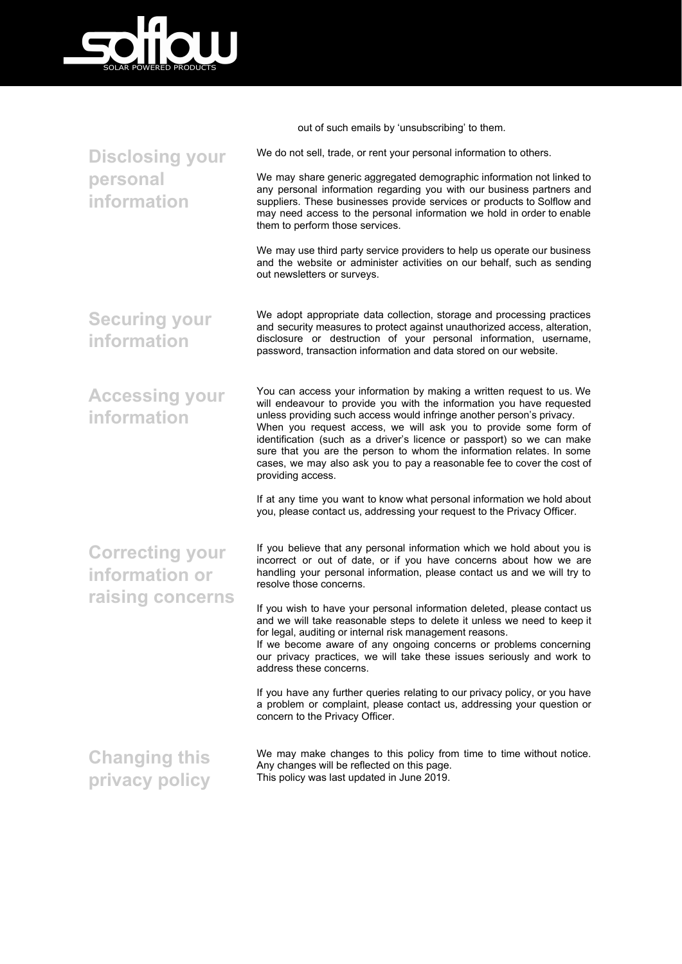

**personal information**

**Disclosing your** We do not sell, trade, or rent your personal information to others. We may share generic aggregated demographic information not linked to any personal information regarding you with our business partners and suppliers. These businesses provide services or products to Solflow and may need access to the personal information we hold in order to enable them to perform those services. We may use third party service providers to help us operate our business and the website or administer activities on our behalf, such as sending out newsletters or surveys.

out of such emails by 'unsubscribing' to them.

**Securing your information** We adopt appropriate data collection, storage and processing practices and security measures to protect against unauthorized access, alteration, disclosure or destruction of your personal information, username, password, transaction information and data stored on our website.

**Accessing your information** You can access your information by making a written request to us. We will endeavour to provide you with the information you have requested unless providing such access would infringe another person's privacy. When you request access, we will ask you to provide some form of identification (such as a driver's licence or passport) so we can make sure that you are the person to whom the information relates. In some cases, we may also ask you to pay a reasonable fee to cover the cost of providing access.

> If at any time you want to know what personal information we hold about you, please contact us, addressing your request to the Privacy Officer.

**Correcting your information or raising concerns** If you believe that any personal information which we hold about you is incorrect or out of date, or if you have concerns about how we are handling your personal information, please contact us and we will try to resolve those concerns.

If you wish to have your personal information deleted, please contact us and we will take reasonable steps to delete it unless we need to keep it for legal, auditing or internal risk management reasons.

If we become aware of any ongoing concerns or problems concerning our privacy practices, we will take these issues seriously and work to address these concerns.

If you have any further queries relating to our privacy policy, or you have a problem or complaint, please contact us, addressing your question or concern to the Privacy Officer.

**Changing this privacy policy** We may make changes to this policy from time to time without notice. Any changes will be reflected on this page. This policy was last updated in June 2019.